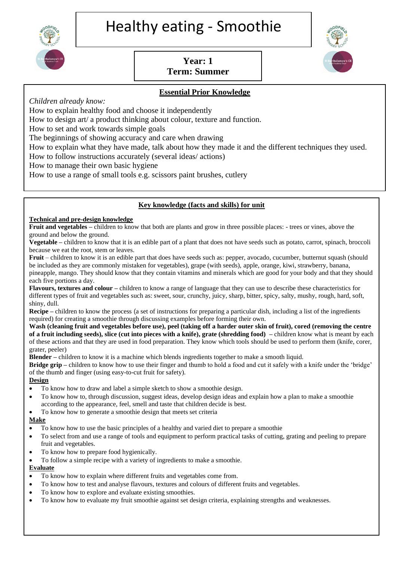

# **Year: 1 Term: Summer**

# **Essential Prior Knowledge**

*Children already know:*

How to explain healthy food and choose it independently

How to design art/ a product thinking about colour, texture and function.

How to set and work towards simple goals

The beginnings of showing accuracy and care when drawing

How to explain what they have made, talk about how they made it and the different techniques they used.

How to follow instructions accurately (several ideas/ actions)

How to manage their own basic hygiene

How to use a range of small tools e.g. scissors paint brushes, cutlery

## **Key knowledge (facts and skills) for unit**

#### **Technical and pre-design knowledge**

**Fruit and vegetables –** children to know that both are plants and grow in three possible places: - trees or vines, above the ground and below the ground.

**Vegetable –** children to know that it is an edible part of a plant that does not have seeds such as potato, carrot, spinach, broccoli because we eat the root, stem or leaves.

**Fruit** – children to know it is an edible part that does have seeds such as: pepper, avocado, cucumber, butternut squash (should be included as they are commonly mistaken for vegetables), grape (with seeds), apple, orange, kiwi, strawberry, banana, pineapple, mango. They should know that they contain vitamins and minerals which are good for your body and that they should each five portions a day.

**Flavours, textures and colour –** children to know a range of language that they can use to describe these characteristics for different types of fruit and vegetables such as: sweet, sour, crunchy, juicy, sharp, bitter, spicy, salty, mushy, rough, hard, soft, shiny, dull.

**Recipe** – children to know the process (a set of instructions for preparing a particular dish, including a list of the ingredients required) for creating a smoothie through discussing examples before forming their own.

**Wash (cleaning fruit and vegetables before use), peel (taking off a harder outer skin of fruit), cored (removing the centre of a fruit including seeds), slice (cut into pieces with a knife), grate (shredding food) –** children know what is meant by each of these actions and that they are used in food preparation. They know which tools should be used to perform them (knife, corer, grater, peeler)

**Blender –** children to know it is a machine which blends ingredients together to make a smooth liquid.

**Bridge grip –** children to know how to use their finger and thumb to hold a food and cut it safely with a knife under the 'bridge' of the thumb and finger (using easy-to-cut fruit for safety).

#### **Design**

- To know how to draw and label a simple sketch to show a smoothie design.
- To know how to, through discussion, suggest ideas, develop design ideas and explain how a plan to make a smoothie according to the appearance, feel, smell and taste that children decide is best.
- To know how to generate a smoothie design that meets set criteria

#### **Make**

- To know how to use the basic principles of a healthy and varied diet to prepare a smoothie
- To select from and use a range of tools and equipment to perform practical tasks of cutting, grating and peeling to prepare fruit and vegetables.
- To know how to prepare food hygienically.
- To follow a simple recipe with a variety of ingredients to make a smoothie.

#### **Evaluate**

- To know how to explain where different fruits and vegetables come from.
- To know how to test and analyse flavours, textures and colours of different fruits and vegetables.
- To know how to explore and evaluate existing smoothies.
- To know how to evaluate my fruit smoothie against set design criteria, explaining strengths and weaknesses.